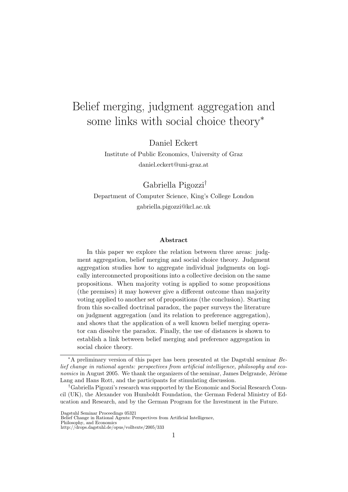# Belief merging, judgment aggregation and some links with social choice theory<sup>∗</sup>

Daniel Eckert

Institute of Public Economics, University of Graz daniel.eckert@uni-graz.at

Gabriella Pigozzi†

Department of Computer Science, King's College London gabriella.pigozzi@kcl.ac.uk

#### Abstract

In this paper we explore the relation between three areas: judgment aggregation, belief merging and social choice theory. Judgment aggregation studies how to aggregate individual judgments on logically interconnected propositions into a collective decision on the same propositions. When majority voting is applied to some propositions (the premises) it may however give a different outcome than majority voting applied to another set of propositions (the conclusion). Starting from this so-called doctrinal paradox, the paper surveys the literature on judgment aggregation (and its relation to preference aggregation), and shows that the application of a well known belief merging operator can dissolve the paradox. Finally, the use of distances is shown to establish a link between belief merging and preference aggregation in social choice theory.

<sup>∗</sup>A preliminary version of this paper has been presented at the Dagstuhl seminar Belief change in rational agents: perspectives from artificial intelligence, philosophy and eco $nomics$  in August 2005. We thank the organizers of the seminar, James Delgrande, Jérôme Lang and Hans Rott, and the participants for stimulating discussion.

<sup>†</sup>Gabriella Pigozzi's research was supported by the Economic and Social Research Council (UK), the Alexander von Humboldt Foundation, the German Federal Ministry of Education and Research, and by the German Program for the Investment in the Future.

Dagstuhl Seminar Proceedings 05321

Belief Change in Rational Agents: Perspectives from Artificial Intelligence,

Philosophy, and Economics http://drops.dagstuhl.de/opus/volltexte/2005/333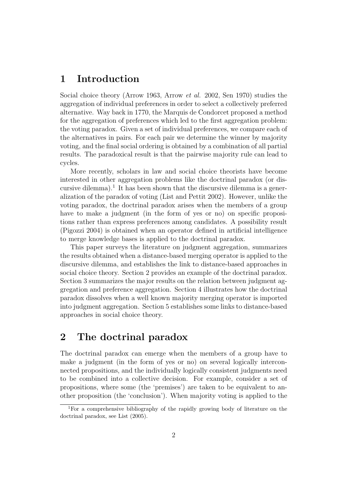### 1 Introduction

Social choice theory (Arrow 1963, Arrow et al. 2002, Sen 1970) studies the aggregation of individual preferences in order to select a collectively preferred alternative. Way back in 1770, the Marquis de Condorcet proposed a method for the aggregation of preferences which led to the first aggregation problem: the voting paradox. Given a set of individual preferences, we compare each of the alternatives in pairs. For each pair we determine the winner by majority voting, and the final social ordering is obtained by a combination of all partial results. The paradoxical result is that the pairwise majority rule can lead to cycles.

More recently, scholars in law and social choice theorists have become interested in other aggregation problems like the doctrinal paradox (or discursive dilemma).<sup>1</sup> It has been shown that the discursive dilemma is a generalization of the paradox of voting (List and Pettit 2002). However, unlike the voting paradox, the doctrinal paradox arises when the members of a group have to make a judgment (in the form of yes or no) on specific propositions rather than express preferences among candidates. A possibility result (Pigozzi 2004) is obtained when an operator defined in artificial intelligence to merge knowledge bases is applied to the doctrinal paradox.

This paper surveys the literature on judgment aggregation, summarizes the results obtained when a distance-based merging operator is applied to the discursive dilemma, and establishes the link to distance-based approaches in social choice theory. Section 2 provides an example of the doctrinal paradox. Section 3 summarizes the major results on the relation between judgment aggregation and preference aggregation. Section 4 illustrates how the doctrinal paradox dissolves when a well known majority merging operator is imported into judgment aggregation. Section 5 establishes some links to distance-based approaches in social choice theory.

## 2 The doctrinal paradox

The doctrinal paradox can emerge when the members of a group have to make a judgment (in the form of yes or no) on several logically interconnected propositions, and the individually logically consistent judgments need to be combined into a collective decision. For example, consider a set of propositions, where some (the 'premises') are taken to be equivalent to another proposition (the 'conclusion'). When majority voting is applied to the

<sup>1</sup>For a comprehensive bibliography of the rapidly growing body of literature on the doctrinal paradox, see List (2005).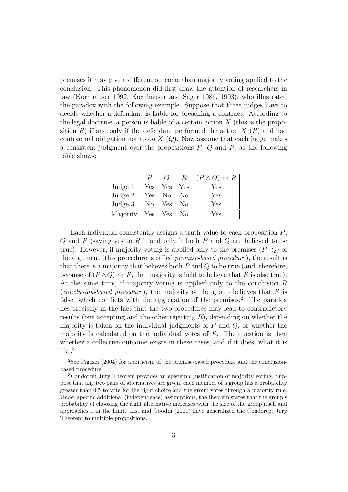premises it may give a different outcome than majority voting applied to the conclusion. This phenomenon did first draw the attention of researchers in law (Kornhauser 1992, Kornhauser and Sager 1986, 1993), who illustrated the paradox with the following example. Suppose that three judges have to decide whether a defendant is liable for breaching a contract. According to the legal doctrine, a person is liable of a certain action  $X$  (this is the proposition  $R$ ) if and only if the defendant performed the action  $X(P)$  and had contractual obligation not to do  $X(Q)$ . Now assume that each judge makes a consistent judgment over the propositions  $P, Q$  and  $R$ , as the following table shows:

|          | Р                    |     | $_{R}$ | $(P \wedge Q) \leftrightarrow R$ |
|----------|----------------------|-----|--------|----------------------------------|
| Judge 1  | Yes                  | Yes | Yes    | Yes                              |
| Judge 2  | Yes                  | No  | No     | Yes                              |
| Judge 3  | No                   | Yes | No     | Yes                              |
| Majority | $\operatorname{Yes}$ | Yes | Nο     | Yes                              |

Each individual consistently assigns a truth value to each proposition P,  $Q$  and  $R$  (saying yes to  $R$  if and only if both  $P$  and  $Q$  are believed to be true). However, if majority voting is applied only to the premises  $(P, Q)$  of the argument (this procedure is called premise-based procedure), the result is that there is a majority that believes both  $P$  and  $Q$  to be true (and, therefore, because of  $(P \wedge Q) \leftrightarrow R$ , that majority is held to believe that R is also true). At the same time, if majority voting is applied only to the conclusion R (*conclusion-based procedure*), the majority of the group believes that  $R$  is false, which conflicts with the aggregation of the premises.<sup>2</sup> The paradox lies precisely in the fact that the two procedures may lead to contradictory results (one accepting and the other rejecting  $R$ ), depending on whether the majority is taken on the individual judgments of  $P$  and  $Q$ , or whether the majority is calculated on the individual votes of  $R$ . The question is then whether a collective outcome exists in these cases, and if it does, what it is like.<sup>3</sup>

<sup>&</sup>lt;sup>2</sup>See Pigozzi (2004) for a criticism of the premise-based procedure and the conclusionbased procedure.

<sup>3</sup>Condorcet Jury Theorem provides an epistemic justification of majority voting. Suppose that any two pairs of alternatives are given, each member of a group has a probability greater than 0.5 to vote for the right choice and the group votes through a majority rule. Under specific additional (independence) assumptions, the theorem states that the group's probability of choosing the right alternative increases with the size of the group itself and approaches 1 in the limit. List and Goodin (2001) have generalized the Condorcet Jury Theorem to multiple propositions.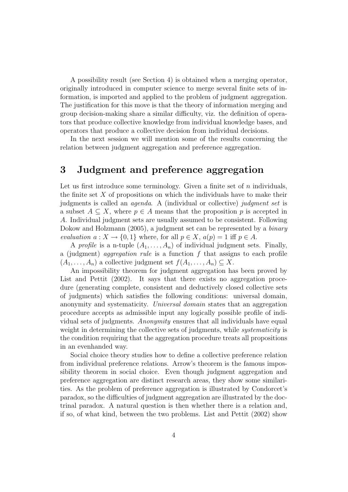A possibility result (see Section 4) is obtained when a merging operator, originally introduced in computer science to merge several finite sets of information, is imported and applied to the problem of judgment aggregation. The justification for this move is that the theory of information merging and group decision-making share a similar difficulty, viz. the definition of operators that produce collective knowledge from individual knowledge bases, and operators that produce a collective decision from individual decisions.

In the next session we will mention some of the results concerning the relation between judgment aggregation and preference aggregation.

#### 3 Judgment and preference aggregation

Let us first introduce some terminology. Given a finite set of  $n$  individuals, the finite set  $X$  of propositions on which the individuals have to make their judgments is called an agenda. A (individual or collective) judgment set is a subset  $A \subseteq X$ , where  $p \in A$  means that the proposition p is accepted in A. Individual judgment sets are usually assumed to be consistent. Following Dokow and Holzmann (2005), a judgment set can be represented by a binary evaluation  $a: X \to \{0,1\}$  where, for all  $p \in X$ ,  $a(p) = 1$  iff  $p \in A$ .

A profile is a n-tuple  $(A_1, \ldots, A_n)$  of individual judgment sets. Finally, a (judgment) *aggregation rule* is a function  $f$  that assigns to each profile  $(A_1, \ldots, A_n)$  a collective judgment set  $f(A_1, \ldots, A_n) \subseteq X$ .

An impossibility theorem for judgment aggregation has been proved by List and Pettit (2002). It says that there exists no aggregation procedure (generating complete, consistent and deductively closed collective sets of judgments) which satisfies the following conditions: universal domain, anonymity and systematicity. Universal domain states that an aggregation procedure accepts as admissible input any logically possible profile of individual sets of judgments. Anonymity ensures that all individuals have equal weight in determining the collective sets of judgments, while *systematicity* is the condition requiring that the aggregation procedure treats all propositions in an evenhanded way.

Social choice theory studies how to define a collective preference relation from individual preference relations. Arrow's theorem is the famous impossibility theorem in social choice. Even though judgment aggregation and preference aggregation are distinct research areas, they show some similarities. As the problem of preference aggregation is illustrated by Condorcet's paradox, so the difficulties of judgment aggregation are illustrated by the doctrinal paradox. A natural question is then whether there is a relation and, if so, of what kind, between the two problems. List and Pettit (2002) show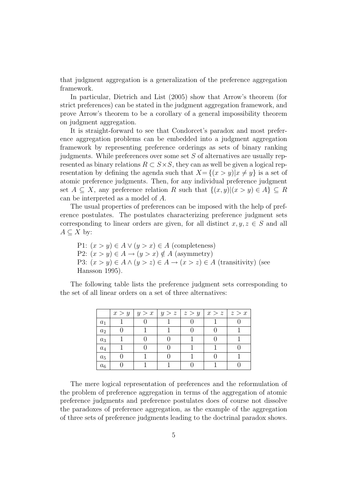that judgment aggregation is a generalization of the preference aggregation framework.

In particular, Dietrich and List (2005) show that Arrow's theorem (for strict preferences) can be stated in the judgment aggregation framework, and prove Arrow's theorem to be a corollary of a general impossibility theorem on judgment aggregation.

It is straight-forward to see that Condorcet's paradox and most preference aggregation problems can be embedded into a judgment aggregation framework by representing preference orderings as sets of binary ranking judgments. While preferences over some set S of alternatives are usually represented as binary relations  $R \subset S \times S$ , they can as well be given a logical representation by defining the agenda such that  $X = \{(x > y) | x \neq y\}$  is a set of atomic preference judgments. Then, for any individual preference judgment set  $A \subseteq X$ , any preference relation R such that  $\{(x, y) | (x > y) \in A\} \subseteq R$ can be interpreted as a model of A.

The usual properties of preferences can be imposed with the help of preference postulates. The postulates characterizing preference judgment sets corresponding to linear orders are given, for all distinct  $x, y, z \in S$  and all  $A \subseteq X$  by:

P1:  $(x > y) \in A \vee (y > x) \in A$  (completeness) P2:  $(x > y) \in A \rightarrow (y > x) \notin A$  (asymmetry) P3:  $(x > y) \in A \wedge (y > z) \in A \rightarrow (x > z) \in A$  (transitivity) (see Hansson 1995).

The following table lists the preference judgment sets corresponding to the set of all linear orders on a set of three alternatives:

|       |  |  | $x > y   y > x   y > z   z > y   x > z   z > x$ |  |
|-------|--|--|-------------------------------------------------|--|
| $a_1$ |  |  |                                                 |  |
| $a_2$ |  |  |                                                 |  |
| $a_3$ |  |  |                                                 |  |
| $a_4$ |  |  |                                                 |  |
| $a_5$ |  |  |                                                 |  |
| $a_6$ |  |  |                                                 |  |

The mere logical representation of preferences and the reformulation of the problem of preference aggregation in terms of the aggregation of atomic preference judgments and preference postulates does of course not dissolve the paradoxes of preference aggregation, as the example of the aggregation of three sets of preference judgments leading to the doctrinal paradox shows.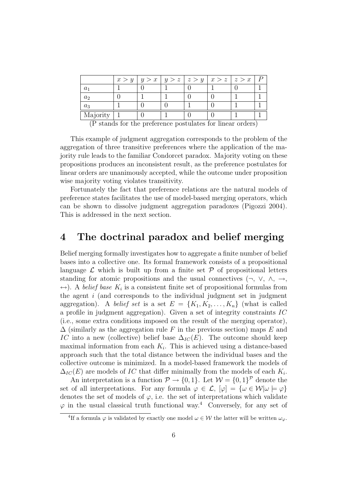| a <sub>2</sub><br>$a_3$ |          |  |  | $x > y   y > x   y > z   z > y   x > z   z > x$ |  |
|-------------------------|----------|--|--|-------------------------------------------------|--|
|                         |          |  |  |                                                 |  |
|                         |          |  |  |                                                 |  |
|                         |          |  |  |                                                 |  |
|                         | Majority |  |  |                                                 |  |

(P stands for the preference postulates for linear orders)

This example of judgment aggregation corresponds to the problem of the aggregation of three transitive preferences where the application of the majority rule leads to the familiar Condorcet paradox. Majority voting on these propositions produces an inconsistent result, as the preference postulates for linear orders are unanimously accepted, while the outcome under proposition wise majority voting violates transitivity.

Fortunately the fact that preference relations are the natural models of preference states facilitates the use of model-based merging operators, which can be shown to dissolve judgment aggregation paradoxes (Pigozzi 2004). This is addressed in the next section.

#### 4 The doctrinal paradox and belief merging

Belief merging formally investigates how to aggregate a finite number of belief bases into a collective one. Its formal framework consists of a propositional language  $\mathcal L$  which is built up from a finite set  $\mathcal P$  of propositional letters standing for atomic propositions and the usual connectives  $(\neg, \vee, \wedge, \rightarrow, \vee)$  $\leftrightarrow$ ). A *belief base*  $K_i$  is a consistent finite set of propositional formulas from the agent  $i$  (and corresponds to the individual judgment set in judgment aggregation). A belief set is a set  $E = \{K_1, K_2, \ldots, K_n\}$  (what is called a profile in judgment aggregation). Given a set of integrity constraints IC (i.e., some extra conditions imposed on the result of the merging operator),  $\Delta$  (similarly as the aggregation rule F in the previous section) maps E and IC into a new (collective) belief base  $\Delta_{IC}(E)$ . The outcome should keep maximal information from each  $K_i$ . This is achieved using a distance-based approach such that the total distance between the individual bases and the collective outcome is minimized. In a model-based framework the models of  $\Delta_{IC}(E)$  are models of IC that differ minimally from the models of each  $K_i$ .

An interpretation is a function  $\mathcal{P} \to \{0,1\}$ . Let  $\mathcal{W} = \{0,1\}^{\mathcal{P}}$  denote the set of all interpretations. For any formula  $\varphi \in \mathcal{L}$ ,  $[\varphi] = {\omega \in \mathcal{W}|\omega \models \varphi}$ denotes the set of models of  $\varphi$ , i.e. the set of interpretations which validate  $\varphi$  in the usual classical truth functional way.<sup>4</sup> Conversely, for any set of

<sup>&</sup>lt;sup>4</sup>If a formula  $\varphi$  is validated by exactly one model  $\omega \in \mathcal{W}$  the latter will be written  $\omega_{\varphi}$ .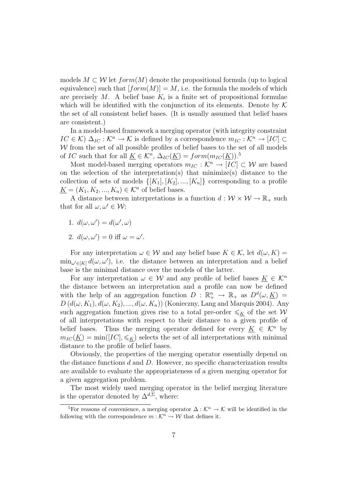models  $M \subset \mathcal{W}$  let  $form(M)$  denote the propositional formula (up to logical equivalence) such that  $[form(M)] = M$ , i.e. the formula the models of which are precisely M. A belief base  $K_i$  is a finite set of propositional formulae which will be identified with the conjunction of its elements. Denote by  $\mathcal K$ the set of all consistent belief bases. (It is usually assumed that belief bases are consistent.)

In a model-based framework a merging operator (with integrity constraint  $IC \in \mathcal{K}$ )  $\Delta_{IC} : \mathcal{K}^n \to \mathcal{K}$  is defined by a correspondence  $m_{IC} : \mathcal{K}^n \to [IC] \subset$  $W$  from the set of all possible profiles of belief bases to the set of all models of IC such that for all  $\underline{K} \in \mathcal{K}^n$ ,  $\Delta_{IC}(\underline{K}) = form(m_{IC}(\underline{K}))$ .<sup>5</sup>

Most model-based merging operators  $m_{IC} : \mathcal{K}^n \to [IC] \subset \mathcal{W}$  are based on the selection of the interpretation(s) that minimize(s) distance to the collection of sets of models  $\{[K_1], [K_2], ..., [K_n]\}$  corresponding to a profile  $K = (K_1, K_2, ..., K_n) \in \mathcal{K}^n$  of belief bases.

A distance between interpretations is a function  $d: \mathcal{W} \times \mathcal{W} \to \mathbb{R}_+$  such that for all  $\omega, \omega' \in \mathcal{W}$ :

- 1.  $d(\omega, \omega') = d(\omega', \omega)$
- 2.  $d(\omega, \omega') = 0$  iff  $\omega = \omega'$ .

For any interpretation  $\omega \in \mathcal{W}$  and any belief base  $K \in \mathcal{K}$ , let  $d(\omega, K) =$  $\min_{\omega' \in [K]} d(\omega, \omega')$ , i.e. the distance between an interpretation and a belief base is the minimal distance over the models of the latter.

For any interpretation  $\omega \in \mathcal{W}$  and any profile of belief bases  $K \in \mathcal{K}^n$ the distance between an interpretation and a profile can now be defined with the help of an aggregation function  $D : \mathbb{R}^n_+ \to \mathbb{R}_+$  as  $D^d(\omega, \underline{K}) =$  $D(d(\omega, K_1), d(\omega, K_2), ..., d(\omega, K_n))$  (Konieczny, Lang and Marquis 2004). Any such aggregation function gives rise to a total pre-order  $\leqslant_K$  of the set W of all interpretations with respect to their distance to a given profile of belief bases. Thus the merging operator defined for every  $K \in \mathcal{K}^n$  by  $m_{IC}(\underline{K}) = \min([IC], \leqslant_K)$  selects the set of all interpretations with minimal distance to the profile of belief bases.

Obviously, the properties of the merging operator essentially depend on the distance functions  $d$  and  $D$ . However, no specific characterization results are available to evaluate the appropriateness of a given merging operator for a given aggregation problem.

The most widely used merging operator in the belief merging literature is the operator denoted by  $\Delta^{d,\Sigma}$ , where:

<sup>&</sup>lt;sup>5</sup>For reasons of convenience, a merging operator  $\Delta : \mathcal{K}^n \to \mathcal{K}$  will be identified in the following with the correspondence  $m : \mathcal{K}^n \to \mathcal{W}$  that defines it.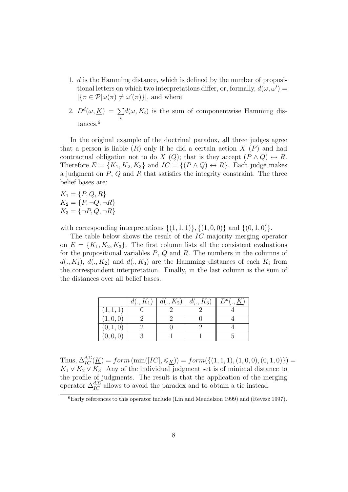- 1. d is the Hamming distance, which is defined by the number of propositional letters on which two interpretations differ, or, formally,  $d(\omega, \omega') =$  $|\{\pi \in \mathcal{P} | \omega(\pi) \neq \omega'(\pi)\}|$ , and where
- 2.  $D^d(\omega,\underline{K}) = \sum$ i  $d(\omega, K_i)$  is the sum of componentwise Hamming distances.<sup>6</sup>

In the original example of the doctrinal paradox, all three judges agree that a person is liable  $(R)$  only if he did a certain action  $X(P)$  and had contractual obligation not to do X (Q); that is they accept  $(P \wedge Q) \leftrightarrow R$ . Therefore  $E = \{K_1, K_2, K_3\}$  and  $IC = \{(P \wedge Q) \leftrightarrow R\}$ . Each judge makes a judgment on  $P$ ,  $Q$  and  $R$  that satisfies the integrity constraint. The three belief bases are:

 $K_1 = \{P, Q, R\}$  $K_2 = \{P, \neg Q, \neg R\}$  $K_3 = \{\neg P, Q, \neg R\}$ 

with corresponding interpretations  $\{(1,1,1)\}, \{(1,0,0)\}$  and  $\{(0,1,0)\}.$ 

The table below shows the result of the IC majority merging operator on  $E = \{K_1, K_2, K_3\}$ . The first column lists all the consistent evaluations for the propositional variables  $P$ ,  $Q$  and  $R$ . The numbers in the columns of  $d(., K_1), d(., K_2)$  and  $d(., K_3)$  are the Hamming distances of each  $K_i$  from the correspondent interpretation. Finally, in the last column is the sum of the distances over all belief bases.

|           |  | $d(., K_1)   d(., K_2)   d(., K_3)    Dd(., K)$ |  |
|-----------|--|-------------------------------------------------|--|
| (1, 1, 1) |  |                                                 |  |
| (1,0,0)   |  |                                                 |  |
| (0, 1, 0) |  |                                                 |  |
| (0, 0, 0) |  |                                                 |  |

Thus,  $\Delta_{IC}^{d,\Sigma}(\underline{K}) = form \left( \min([IC], \leqslant_{\underline{K}}) \right) = form(\{(1,1,1), (1,0,0), (0,1,0)\}) =$  $K_1 \vee K_2 \vee K_3$ . Any of the individual judgment set is of minimal distance to the profile of judgments. The result is that the application of the merging operator  $\Delta_{IC}^{d,\Sigma}$  allows to avoid the paradox and to obtain a tie instead.

<sup>6</sup>Early references to this operator include (Lin and Mendelzon 1999) and (Revesz 1997).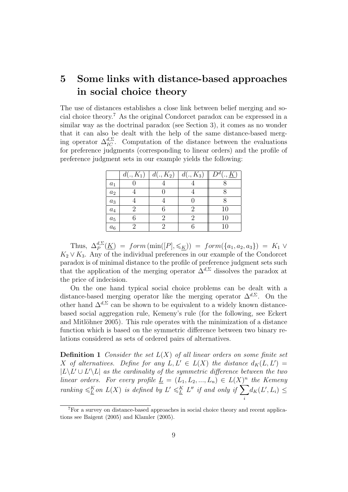# 5 Some links with distance-based approaches in social choice theory

The use of distances establishes a close link between belief merging and social choice theory.<sup>7</sup> As the original Condorcet paradox can be expressed in a similar way as the doctrinal paradox (see Section 3), it comes as no wonder that it can also be dealt with the help of the same distance-based merging operator  $\Delta_{IC}^{d,\Sigma}$ . Computation of the distance between the evaluations for preference judgments (corresponding to linear orders) and the profile of preference judgment sets in our example yields the following:

|                    | $d(., K_1)$ | $d(., K_2)$ | $d(., K_3)$ | $D^d($<br>$,\underline{K}$ |
|--------------------|-------------|-------------|-------------|----------------------------|
| $a_1$              |             |             |             |                            |
| $\boldsymbol{a}_2$ |             |             |             |                            |
| $\boldsymbol{a}_3$ |             |             |             |                            |
| $a_4$              |             |             | 2           | 10                         |
| $\boldsymbol{a_5}$ |             |             | 2           | 10                         |
| $a_6$              |             |             |             | 10                         |

Thus,  $\Delta_P^{d,\Sigma}(\underline{K}) = form \left( \min([P], \leqslant_K) \right) = form(\{a_1, a_2, a_3\}) = K_1 \vee$  $K_2 \vee K_3$ . Any of the individual preferences in our example of the Condorcet paradox is of minimal distance to the profile of preference judgment sets such that the application of the merging operator  $\Delta^{d,\Sigma}$  dissolves the paradox at the price of indecision.

On the one hand typical social choice problems can be dealt with a distance-based merging operator like the merging operator  $\Delta^{d,\Sigma}$ . On the other hand  $\Delta^{d,\Sigma}$  can be shown to be equivalent to a widely known distancebased social aggregation rule, Kemeny's rule (for the following, see Eckert and Mitlöhner 2005). This rule operates with the minimization of a distance function which is based on the symmetric difference between two binary relations considered as sets of ordered pairs of alternatives.

**Definition 1** Consider the set  $L(X)$  of all linear orders on some finite set X of alternatives. Define for any  $L, L' \in L(X)$  the distance  $d_K(L, L') =$  $|L\setminus L' \cup L'\setminus L|$  as the cardinality of the symmetric difference between the two linear orders. For every profile  $\underline{L} = (L_1, L_2, ..., L_n) \in L(X)^n$  the Kemeny ranking  $\leqslant_L^K$  on  $L(X)$  is defined by  $L' \leqslant_L^K L''$  if and only if  $\sum$ i  $d_K(L', L_i) \leq$ 

<sup>7</sup>For a survey on distance-based approaches in social choice theory and recent applications see Baigent (2005) and Klamler (2005).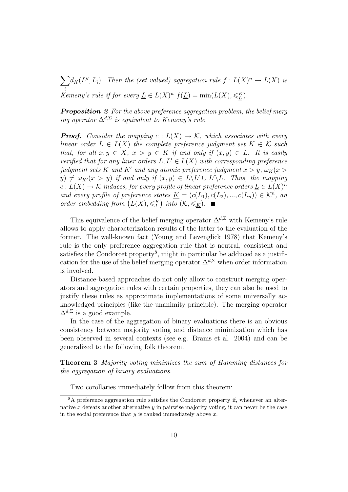$\sum d_K(L'', L_i)$ . Then the (set valued) aggregation rule  $f: L(X)^n \to L(X)$  is i Kemeny's rule if for every  $\underline{L} \in L(X)^n$   $f(\underline{L}) = \min(L(X), \leqslant_L^K)$ .

**Proposition 2** For the above preference aggregation problem, the belief merging operator  $\Delta^{d,\Sigma}$  is equivalent to Kemeny's rule.

**Proof.** Consider the mapping  $c: L(X) \to \mathcal{K}$ , which associates with every linear order  $L \in L(X)$  the complete preference judgment set  $K \in \mathcal{K}$  such that, for all  $x, y \in X$ ,  $x > y \in K$  if and only if  $(x, y) \in L$ . It is easily verified that for any liner orders  $L, L' \in L(X)$  with corresponding preference judgment sets K and K' and any atomic preference judgment  $x > y$ ,  $\omega_K(x >$  $y) \neq \omega_{K'}(x > y)$  if and only if  $(x, y) \in L \backslash L' \cup L' \backslash L$ . Thus, the mapping  $c: L(X) \to \mathcal{K}$  induces, for every profile of linear preference orders  $\underline{L} \in L(X)^n$ and every profile of preference states  $\underline{K} = (c(L_1), c(L_2), ..., c(L_n)) \in \mathcal{K}^n$ , and order-embedding from  $(L(X), \leqslant^K_L)$  into  $(K, \leqslant_K)$ .

This equivalence of the belief merging operator  $\Delta^{d,\Sigma}$  with Kemeny's rule allows to apply characterization results of the latter to the evaluation of the former. The well-known fact (Young and Levenglick 1978) that Kemeny's rule is the only preference aggregation rule that is neutral, consistent and satisfies the Condorcet property<sup>8</sup>, might in particular be adduced as a justification for the use of the belief merging operator  $\Delta^{d,\Sigma}$  when order information is involved.

Distance-based approaches do not only allow to construct merging operators and aggregation rules with certain properties, they can also be used to justify these rules as approximate implementations of some universally acknowledged principles (like the unanimity principle). The merging operator  $\Delta^{d,\Sigma}$  is a good example.

In the case of the aggregation of binary evaluations there is an obvious consistency between majority voting and distance minimization which has been observed in several contexts (see e.g. Brams et al. 2004) and can be generalized to the following folk theorem.

Theorem 3 Majority voting minimizes the sum of Hamming distances for the aggregation of binary evaluations.

Two corollaries immediately follow from this theorem:

<sup>8</sup>A preference aggregation rule satisfies the Condorcet property if, whenever an alternative  $x$  defeats another alternative  $y$  in pairwise majority voting, it can never be the case in the social preference that  $y$  is ranked immediately above  $x$ .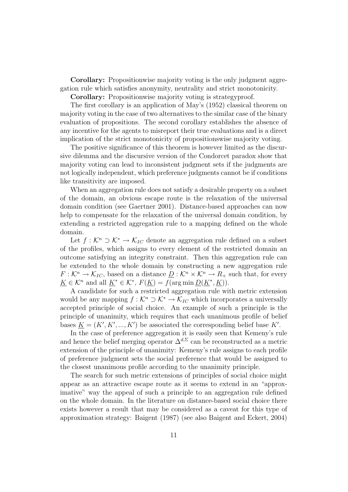Corollary: Propositionwise majority voting is the only judgment aggregation rule which satisfies anonymity, neutrality and strict monotonicity.

Corollary: Propositionwise majority voting is strategyproof.

The first corollary is an application of May's (1952) classical theorem on majority voting in the case of two alternatives to the similar case of the binary evaluation of propositions. The second corollary establishes the absence of any incentive for the agents to misreport their true evaluations and is a direct implication of the strict monotonicity of propositionswise majority voting.

The positive significance of this theorem is however limited as the discursive dilemma and the discursive version of the Condorcet paradox show that majority voting can lead to inconsistent judgment sets if the judgments are not logically independent, which preference judgments cannot be if conditions like transitivity are imposed.

When an aggregation rule does not satisfy a desirable property on a subset of the domain, an obvious escape route is the relaxation of the universal domain condition (see Gaertner 2001). Distance-based approaches can now help to compensate for the relaxation of the universal domain condition, by extending a restricted aggregation rule to a mapping defined on the whole domain.

Let  $f: \mathcal{K}^n \supset \mathcal{K}^* \to \mathcal{K}_{IC}$  denote an aggregation rule defined on a subset of the profiles, which assigns to every element of the restricted domain an outcome satisfying an integrity constraint. Then this aggregation rule can be extended to the whole domain by constructing a new aggregation rule  $F: \mathcal{K}^n \to \mathcal{K}_{IC}$ , based on a distance  $\underline{D}: \mathcal{K}^n \times \mathcal{K}^n \to R_+$  such that, for every  $\underline{K} \in \mathcal{K}^n$  and all  $\underline{K}^* \in \mathcal{K}^*, F(\underline{K}) = f(\arg \min \underline{D}(K^*, \underline{K})).$ 

A candidate for such a restricted aggregation rule with metric extension would be any mapping  $f : \mathcal{K}^n \supset \mathcal{K}^* \to \mathcal{K}_{IC}$  which incorporates a universally accepted principle of social choice. An example of such a principle is the principle of unanimity, which requires that each unanimous profile of belief bases  $\underline{K} = (K', K', ..., K')$  be associated the corresponding belief base K'.

In the case of preference aggregation it is easily seen that Kemeny's rule and hence the belief merging operator  $\Delta^{d,\Sigma}$  can be reconstructed as a metric extension of the principle of unanimity: Kemeny's rule assigns to each profile of preference judgment sets the social preference that would be assigned to the closest unanimous profile according to the unanimity principle.

The search for such metric extensions of principles of social choice might appear as an attractive escape route as it seems to extend in an "approximative" way the appeal of such a principle to an aggregation rule defined on the whole domain. In the literature on distance-based social choice there exists however a result that may be considered as a caveat for this type of approximation strategy: Baigent (1987) (see also Baigent and Eckert, 2004)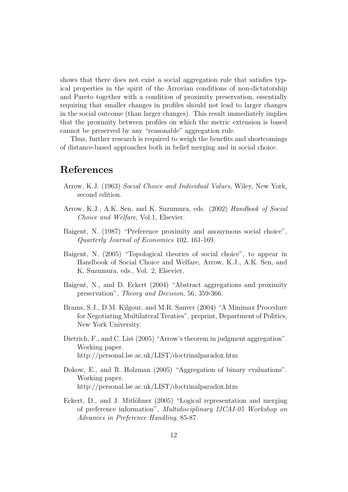shows that there does not exist a social aggregation rule that satisfies typical properties in the spirit of the Arrovian conditions of non-dictatorship and Pareto together with a condition of proximity preservation, essentially requiring that smaller changes in profiles should not lead to larger changes in the social outcome (than larger changes). This result immediately implies that the proximity between profiles on which the metric extension is based cannot be preserved by any "reasonable" aggregation rule.

Thus, further research is required to weigh the benefits and shortcomings of distance-based approaches both in belief merging and in social choice.

#### References

- Arrow, K.J. (1963) Social Choice and Individual Values, Wiley, New York, second edition.
- Arrow, K.J., A.K. Sen, and K. Suzumura, eds. (2002) Handbook of Social Choice and Welfare, Vol.1, Elsevier.
- Baigent, N. (1987) "Preference proximity and anonymous social choice", Quarterly Journal of Economics 102, 161-169.
- Baigent, N. (2005) "Topological theories of social choice", to appear in Handbook of Social Choice and Welfare, Arrow, K.J., A.K. Sen, and K. Suzumura, eds., Vol. 2, Elsevier.
- Baigent, N., and D. Eckert (2004) "Abstract aggregations and proximity preservation", Theory and Decision, 56, 359-366.
- Brams, S.J., D.M. Kilgour, and M.R. Sanver (2004) "A Minimax Procedure for Negotiating Multilateral Treaties", preprint, Department of Politics, New York University.
- Dietrich, F., and C. List (2005) "Arrow's theorem in judgment aggregation". Working paper. http://personal.lse.ac.uk/LIST/doctrinalparadox.htm
- Dokow, E., and R. Holzman (2005) "Aggregation of binary evaluations". Working paper. http://personal.lse.ac.uk/LIST/doctrinalparadox.htm
- Eckert, D., and J. Mitlöhner (2005) "Logical representation and merging of preference information", Multidisciplinary IJCAI-05 Workshop on Advances in Preference Handling, 85-87.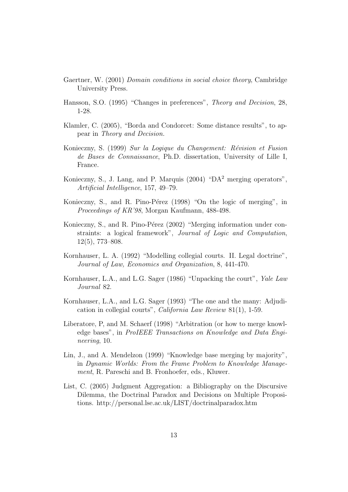- Gaertner, W. (2001) Domain conditions in social choice theory, Cambridge University Press.
- Hansson, S.O. (1995) "Changes in preferences", Theory and Decision, 28, 1-28.
- Klamler, C. (2005), "Borda and Condorcet: Some distance results", to appear in Theory and Decision.
- Konieczny, S. (1999) Sur la Logique du Changement: Révision et Fusion de Bases de Connaissance, Ph.D. dissertation, University of Lille I, France.
- Konieczny, S., J. Lang, and P. Marquis  $(2004)$  "DA<sup>2</sup> merging operators", Artificial Intelligence, 157, 49–79.
- Konieczny, S., and R. Pino-Pérez (1998) "On the logic of merging", in Proceedings of KR'98, Morgan Kaufmann, 488-498.
- Konieczny, S., and R. Pino-Pérez (2002) "Merging information under constraints: a logical framework", Journal of Logic and Computation, 12(5), 773–808.
- Kornhauser, L. A. (1992) "Modelling collegial courts. II. Legal doctrine", Journal of Law, Economics and Organization, 8, 441-470.
- Kornhauser, L.A., and L.G. Sager (1986) "Unpacking the court", Yale Law Journal 82.
- Kornhauser, L.A., and L.G. Sager (1993) "The one and the many: Adjudication in collegial courts", California Law Review 81(1), 1-59.
- Liberatore, P, and M. Schaerf (1998) "Arbitration (or how to merge knowledge bases", in ProIEEE Transactions on Knowledge and Data Engineering, 10.
- Lin, J., and A. Mendelzon (1999) "Knowledge base merging by majority", in Dynamic Worlds: From the Frame Problem to Knowledge Management, R. Pareschi and B. Fronhoefer, eds., Kluwer.
- List, C. (2005) Judgment Aggregation: a Bibliography on the Discursive Dilemma, the Doctrinal Paradox and Decisions on Multiple Propositions. http://personal.lse.ac.uk/LIST/doctrinalparadox.htm